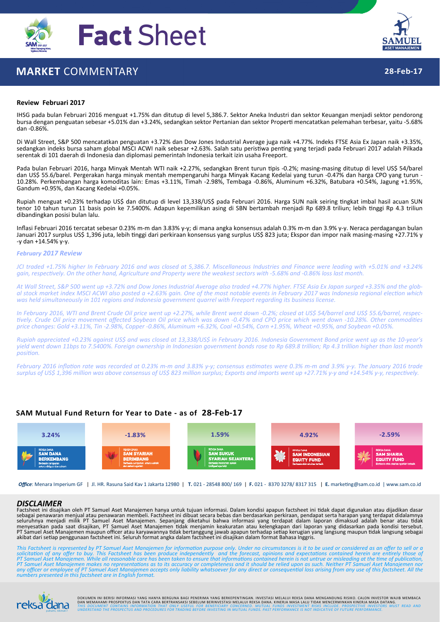

# **MARKET** COMMENTARY



# **28‐Feb‐17**

#### **Review Februari 2017**

IHSG pada bulan Februari 2016 menguat +1.75% dan ditutup di level 5,386.7. Sektor Aneka Industri dan sektor Keuangan menjadi sektor pendorong bursa dengan penguatan sebesar +5.01% dan +3.24%, sedangkan sektor Pertanian dan sektor Properti mencatatkan pelemahan terbesar, yaitu -5.68% dan ‐0.86%.

Di Wall Street, S&P 500 mencatatkan penguatan +3.72% dan Dow Jones Industrial Average juga naik +4.77%. Indeks FTSE Asia Ex Japan naik +3.35%, sedangkan indeks bursa saham global MSCI ACWI naik sebesar +2.63%. Salah satu peristiwa penting yang terjadi pada Februari 2017 adalah Pilkada serentak di 101 daerah di Indonesia dan diplomasi pemerintah Indonesia terkait izin usaha Freeport.

Pada bulan Februari 2016, harga Minyak Mentah WTI naik +2.27%, sedangkan Brent turun tipis -0.2%; masing-masing ditutup di level US\$ 54/barel dan US\$ 55.6/barel. Pergerakan harga minyak mentah mempengaruhi harga Minyak Kacang Kedelai yang turun -0.47% dan harga CPO yang turun -<br>10.28%. Perkembangan harga komoditas lain: Emas +3.11%, Timah -2.98%, Tembaga -0.86%, Gandum +0.95%, dan Kacang Kedelai +0.05%.

Rupiah menguat +0.23% terhadap US\$ dan ditutup di level 13,338/US\$ pada Februari 2016. Harga SUN naik seiring tingkat imbal hasil acuan SUN tenor 10 tahun turun 11 basis poin ke 7.5400%. Adapun kepemilikan asing di SBN bertambah menjadi Rp 689.8 triliun; lebih tinggi Rp 4.3 triliun dibandingkan posisi bulan lalu.

Inflasi Februari 2016 tercatat sebesar 0.23% m‐m dan 3.83% y‐y; di mana angka konsensus adalah 0.3% m‐m dan 3.9% y‐y. Neraca perdagangan bulan Januari 2017 surplus US\$ 1,396 juta, lebih tinggi dari perkiraan konsensus yang surplus US\$ 823 juta; Ekspor dan impor naik masing-masing +27.71% y ‐y dan +14.54% y‐y.

#### *February 2017 Review*

JCI traded +1.75% higher In February 2016 and was closed at 5,386.7. Miscellaneous Industries and Finance were leading with +5.01% and +3.24% agin, respectively. On the other hand, Agriculture and Property were the weakest sectors with -5.68% and -0.86% loss last month.

At Wall Street, S&P 500 went up +3.72% and Dow Jones Industrial Average also traded +4.77% higher. FTSE Asia Ex Japan surged +3.35% and the global stock market index MSCI ACWI also posted a +2.63% gain. One of the most notable events in February 2017 was Indonesia regional election which was held simultaneously in 101 regions and Indonesia government quarrel with Freeport regarding its business license.

In February 2016, WTI and Brent Crude Oil price went up +2.27%, while Brent went down -0.2%; closed at US\$ 54/barrel and US\$ 55.6/barrel, respectively. Crude Oil price movement affected Soybean Oil price which was down -0.47% and CPO price which went down -10.28%. Other commodities price changes: Gold +3.11%, Tin -2.98%, Copper -0.86%, Aluminum +6.32%, Coal +0.54%, Corn +1.95%, Wheat +0.95%, and Soybean +0.05%.

Rupiah appreciated +0.23% against US\$ and was closed at 13,338/US\$ in February 2016. Indonesia Government Bond price went up as the 10-year's vield went down 11bps to 7.5400%. Foreian ownership in Indonesian government bonds rose to Rp 689.8 trillion: Rp 4.3 trillion higher than last month *posiƟon.*

February 2016 inflation rate was recorded at 0.23% m-m and 3.83% y-y; consensus estimates were 0.3% m-m and 3.9% y-y. The January 2016 trade surplus of US\$ 1,396 million was above consensus of US\$ 823 million surplus; Exports and imports went up +27.71% y-y and +14.54% y-y, respectively.

# **SAM Mutual Fund Return for Year to Date ‐ as of 28‐Feb‐17**



*Office*: Menara Imperium GF | Jl. HR. Rasuna Said Kav 1 Jakarta 12980 | **T.** 021 ‐ 28548 800/ 169 | **F.** 021 ‐ 8370 3278/ 8317 315 | **E.** markeƟng@sam.co.id | www.sam.co.id

#### *DISCLAIMER*

Factsheet ini disajikan oleh PT Samuel Aset Manajemen hanya untuk tujuan informasi. Dalam kondisi apapun factsheet ini tidak dapat digunakan atau dijadikan dasar<br>sebagai penawaran menjual atau penawaran membeli. Factsheet PT Samuel Aset Manajemen maupun officer atau karyawannya tidak bertanggung jawab apapun terhadap setiap kerugian yang langsung maupun tidak langsung sebagai<br>akibat dari setiap penggunaan factsheet ini. Seluruh format angka

This Factsheet is represented by PT Samuel Aset Manajemen for information purpose only. Under no circumstances is it to be used or considered as an offer to sell or a<br>solicitation of any offer to buy. This Factsheet has be PT Samuel Aset Manajemen makes no representations as to its accuracy or completeness and it should be relied upon as such. Neither PT Samuel Aset Manajemen nor<br>any officer or employee of PT Samuel Aset Manajemen accepts on *numbers presented in this factsheet are in English format.*



DOKUMEN INI BERISI INFORMASI YANG HANYA BERGUNA BAGI PENERIMA YANG BERKEPENTINGAN. INVESTASI MELALUI REKSA DANA MENGANDUNG RISIKO. CALON INVESTOR WAJIB MEMBACA<br>DAN MEMAHAMI PROSPEKTUS DAN TATA CARA BERTRANSAKSI SEBELUM BER **UCIFICE** THIS DOCUMENT CONTAINS INFORMATION THAT ONLY USEFUL FOR BENEFICIARY CONCERNED. MUTUAL FUNDS INVESTMENT RISKS INCLUDE. PROSPECTIVE INVESTORS MUST READ AND<br><sub>pahami, nikmati! UNDERSTAND THE PROSPECTUS AND PROCEDURES</sub>